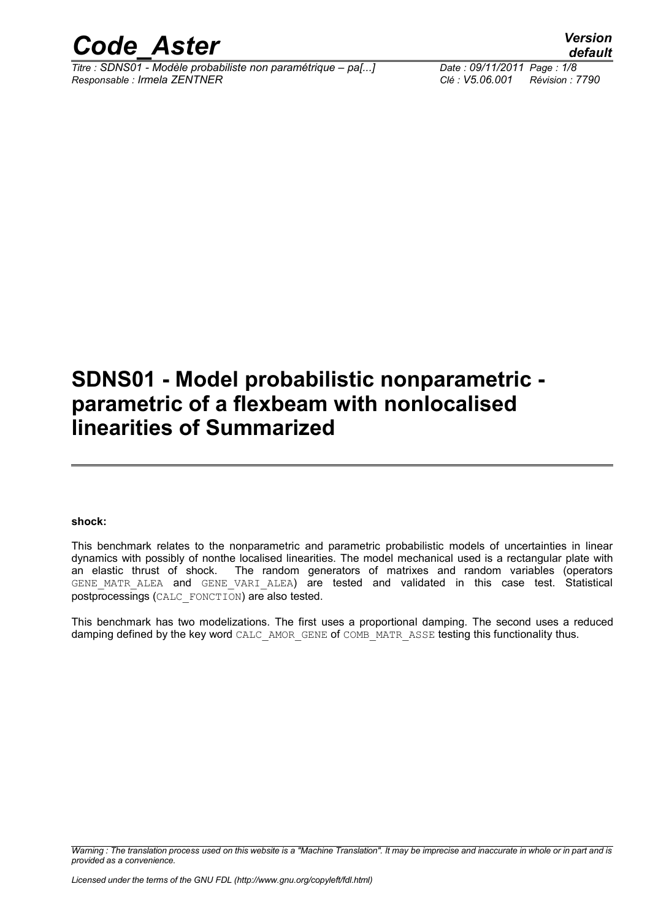

*Titre : SDNS01 - Modèle probabiliste non paramétrique – pa[...] Date : 09/11/2011 Page : 1/8 Responsable : Irmela ZENTNER Clé : V5.06.001 Révision : 7790*

*default*

## **SDNS01 - Model probabilistic nonparametric parametric of a flexbeam with nonlocalised linearities of Summarized**

**shock:**

This benchmark relates to the nonparametric and parametric probabilistic models of uncertainties in linear dynamics with possibly of nonthe localised linearities. The model mechanical used is a rectangular plate with an elastic thrust of shock. The random generators of matrixes and random variables (operators GENE MATR ALEA and GENE VARI ALEA) are tested and validated in this case test. Statistical postprocessings (CALC\_FONCTION) are also tested.

This benchmark has two modelizations. The first uses a proportional damping. The second uses a reduced damping defined by the key word CALC\_AMOR\_GENE of COMB\_MATR\_ASSE testing this functionality thus.

*Warning : The translation process used on this website is a "Machine Translation". It may be imprecise and inaccurate in whole or in part and is provided as a convenience.*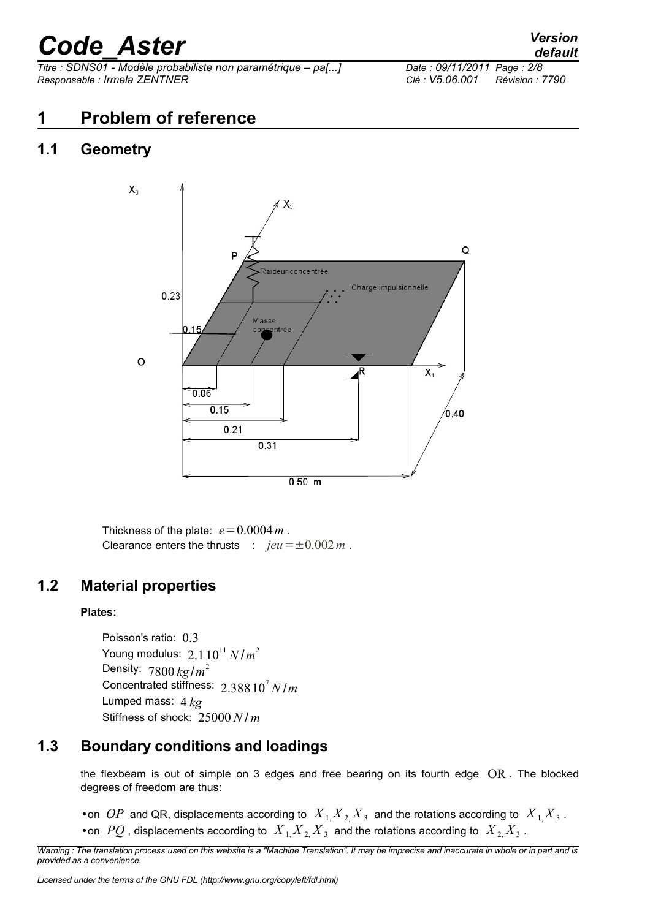*Titre : SDNS01 - Modèle probabiliste non paramétrique – pa[...] Date : 09/11/2011 Page : 2/8 Responsable : Irmela ZENTNER Clé : V5.06.001 Révision : 7790*

## **1 Problem of reference**

## **1.1 Geometry**



Thickness of the plate:  $e = 0.0004 m$ . Clearance enters the thrusts :  $jeu = \pm 0.002 m$ .

## **1.2 Material properties**

#### **Plates:**

Poisson's ratio: 0.3 Young modulus:  $2.1\,10^{11}\,N/m^2$ Density: 7800 *kg*/*m* 2 Concentrated stiffness: 2.38810<sup>7</sup> *N* /*m* Lumped mass: 4 *kg* Stiffness of shock: 25000 *N* / *m*

## **1.3 Boundary conditions and loadings**

the flexbeam is out of simple on 3 edges and free bearing on its fourth edge OR . The blocked degrees of freedom are thus:

• on *OP* and QR, displacements according to  $X_{1,} X_{2,} X_{3}$  and the rotations according to  $X_{1,} X_{3}$ . • on  $PQ$  , displacements according to  $X_{1,} X_{2,} X_{3}$  and the rotations according to  $X_{2,} X_{3}$ .

*Warning : The translation process used on this website is a "Machine Translation". It may be imprecise and inaccurate in whole or in part and is provided as a convenience.*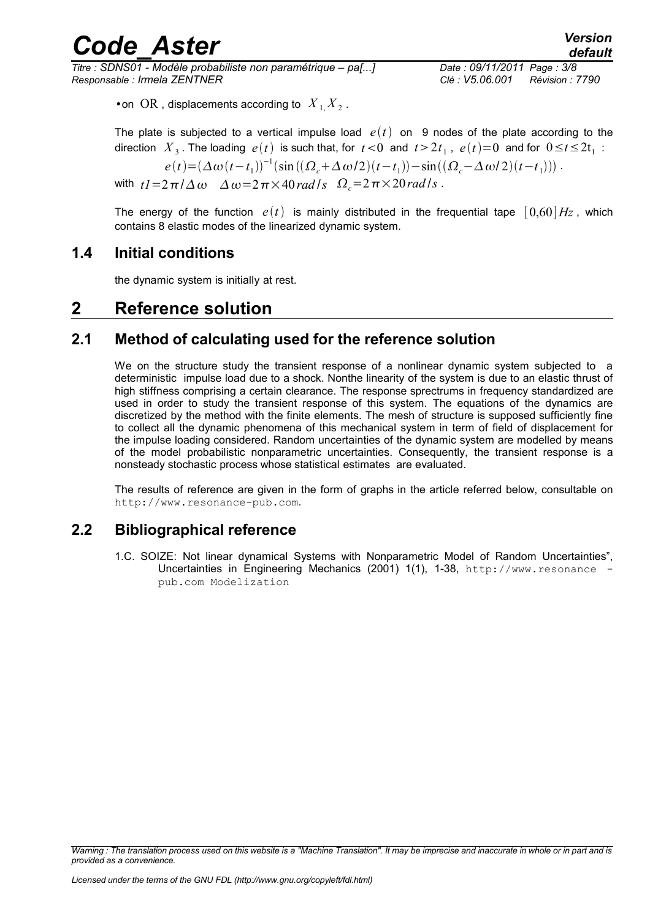*Titre : SDNS01 - Modèle probabiliste non paramétrique – pa[...] Date : 09/11/2011 Page : 3/8 Responsable : Irmela ZENTNER Clé : V5.06.001 Révision : 7790*

 $\bullet$  on  $OR$  , displacements according to  $X_{1,} X_{2}$ .

The plate is subjected to a vertical impulse load  $e(t)$  on 9 nodes of the plate according to the direction  $|X_3|$ . The loading  $|e(t)|$  is such that, for  $|t|< 0$  and  $|t>2t_1$  ,  $|e(t)|=0$  and for  $0 \le t \le 2t_1$  :  $e(t) = (\Delta \omega (t - t_1))^{-1} (\sin ((\Omega_c + \Delta \omega/2)(t - t_1)) - \sin ((\Omega_c - \Delta \omega/2)(t - t_1)))$ .

with  $t = 2\pi/\Delta\omega$   $\Delta\omega = 2\pi \times 40$  *rad*  $/s$   $\Omega_c = 2\pi \times 20$  *rad*  $/s$ .

The energy of the function  $e(t)$  is mainly distributed in the frequential tape  $[0,60]$  *Hz*, which contains 8 elastic modes of the linearized dynamic system.

### **1.4 Initial conditions**

the dynamic system is initially at rest.

## **2 Reference solution**

## **2.1 Method of calculating used for the reference solution**

We on the structure study the transient response of a nonlinear dynamic system subjected to a deterministic impulse load due to a shock. Nonthe linearity of the system is due to an elastic thrust of high stiffness comprising a certain clearance. The response sprectrums in frequency standardized are used in order to study the transient response of this system. The equations of the dynamics are discretized by the method with the finite elements. The mesh of structure is supposed sufficiently fine to collect all the dynamic phenomena of this mechanical system in term of field of displacement for the impulse loading considered. Random uncertainties of the dynamic system are modelled by means of the model probabilistic nonparametric uncertainties. Consequently, the transient response is a nonsteady stochastic process whose statistical estimates are evaluated.

The results of reference are given in the form of graphs in the article referred below, consultable on http://www.resonance-pub.com.

## **2.2 Bibliographical reference**

1.C. SOIZE: Not linear dynamical Systems with Nonparametric Model of Random Uncertainties", Uncertainties in Engineering Mechanics (2001) 1(1), 1-38, http://www.resonance pub.com Modelization

*Warning : The translation process used on this website is a "Machine Translation". It may be imprecise and inaccurate in whole or in part and is provided as a convenience.*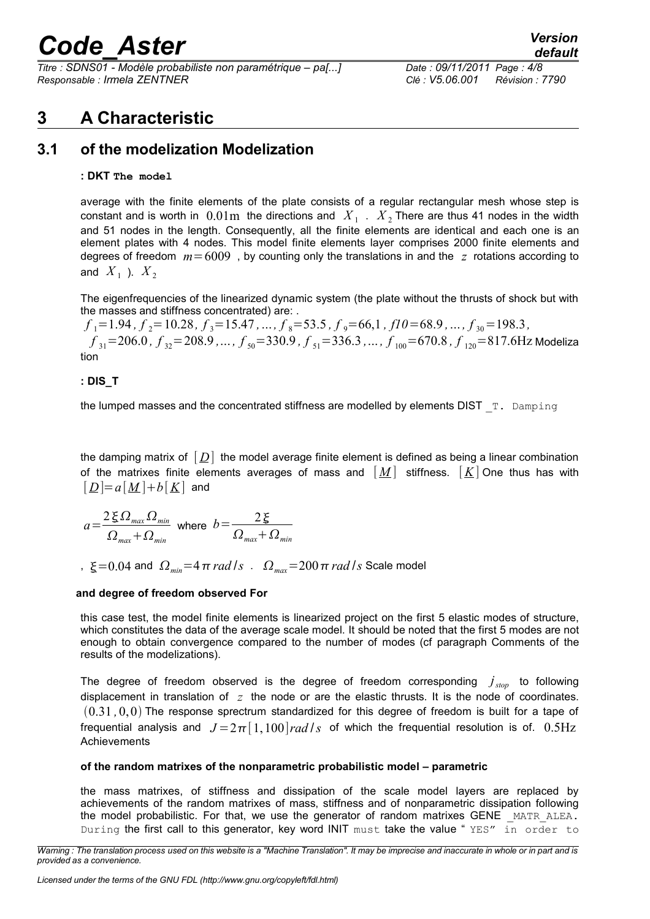*Titre : SDNS01 - Modèle probabiliste non paramétrique – pa[...] Date : 09/11/2011 Page : 4/8 Responsable : Irmela ZENTNER Clé : V5.06.001 Révision : 7790*

## **3 A Characteristic**

## **3.1 of the modelization Modelization**

#### **: DKT The model**

average with the finite elements of the plate consists of a regular rectangular mesh whose step is constant and is worth in  $0.01\text{m}$  the directions and  $|X_{1}|$ .  $|X_{2}|$  There are thus 41 nodes in the width and 51 nodes in the length. Consequently, all the finite elements are identical and each one is an element plates with 4 nodes. This model finite elements layer comprises 2000 finite elements and degrees of freedom *m*=6009 , by counting only the translations in and the *z* rotations according to and  $X_1$  ).  $X_2$ 

The eigenfrequencies of the linearized dynamic system (the plate without the thrusts of shock but with the masses and stiffness concentrated) are: .

*f* <sup>1</sup>=1.94 *, f* <sup>2</sup>=10.28*, f* <sup>3</sup>=15.47 *,*... *, f* <sup>8</sup>=53.5 *, f* <sup>9</sup>=66,1 *, f10*=68.9 *,*... *, f* <sup>30</sup>=198.3*,*  $f_{31}{=}206.0$  *, f*  $_{32}{=}208.9$  *,*... *, f*  $_{50}{=}330.9$  *, f*  $_{51}{=}336.3$  *,* ... *, f*  $_{100}{=}670.8$  *, f*  $_{120}{=}817.6\mathrm{Hz}$  Modeliza tion

#### **: DIS\_T**

the lumped masses and the concentrated stiffness are modelled by elements DIST  $T$ . Damping

the damping matrix of  $[D]$  the model average finite element is defined as being a linear combination of the matrixes finite elements averages of mass and  $[M]$  stiffness.  $[K]$  One thus has with  $\lfloor \underline{D} \rfloor = a[\underline{M}] + b[\underline{K}]$  and

$$
a = \frac{2 \xi \Omega_{max} \Omega_{min}}{\Omega_{max} + \Omega_{min}} \text{ where } b = \frac{2 \xi}{\Omega_{max} + \Omega_{min}}
$$

,  $\xi = 0.04$  and  $\Omega_{\text{min}} = 4 \pi \text{ rad/s}$ .  $\Omega_{\text{max}} = 200 \pi \text{ rad/s}$  Scale model

#### **and degree of freedom observed For**

this case test, the model finite elements is linearized project on the first 5 elastic modes of structure, which constitutes the data of the average scale model. It should be noted that the first 5 modes are not enough to obtain convergence compared to the number of modes (cf paragraph Comments of the results of the modelizations).

The degree of freedom observed is the degree of freedom corresponding *j stop* to following displacement in translation of *z* the node or are the elastic thrusts. It is the node of coordinates. 0.31 *,*0,0 The response sprectrum standardized for this degree of freedom is built for a tape of frequential analysis and  $J = 2\pi [1,100] rad/s$  of which the frequential resolution is of. 0.5Hz Achievements

#### **of the random matrixes of the nonparametric probabilistic model – parametric**

the mass matrixes, of stiffness and dissipation of the scale model layers are replaced by achievements of the random matrixes of mass, stiffness and of nonparametric dissipation following the model probabilistic. For that, we use the generator of random matrixes GENE MATR ALEA. During the first call to this generator, key word INIT must take the value "YES" in order to

*Warning : The translation process used on this website is a "Machine Translation". It may be imprecise and inaccurate in whole or in part and is provided as a convenience.*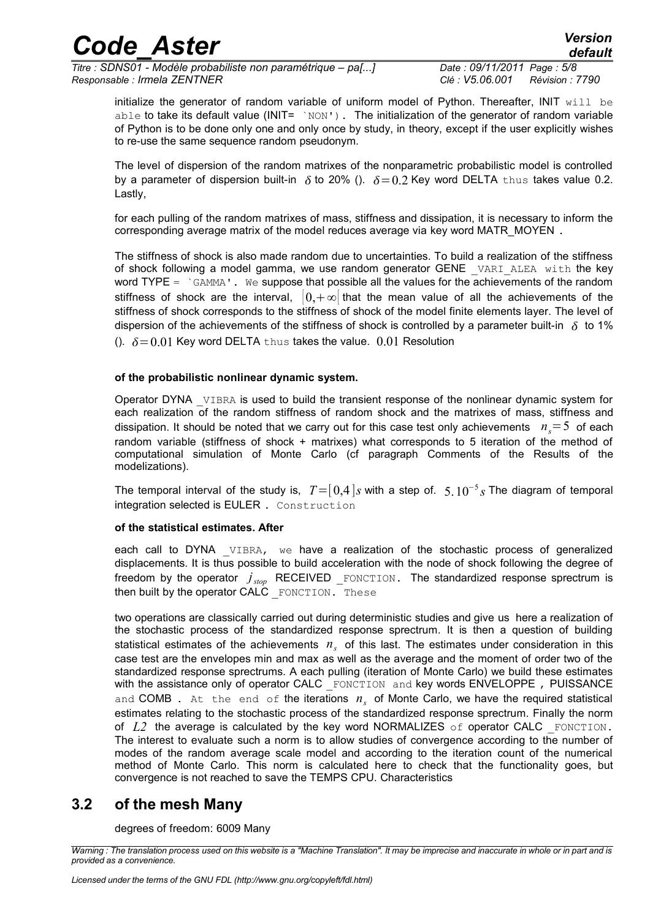*Titre : SDNS01 - Modèle probabiliste non paramétrique – pa[...] Date : 09/11/2011 Page : 5/8 Responsable : Irmela ZENTNER Clé : V5.06.001 Révision : 7790*

*default*

initialize the generator of random variable of uniform model of Python. Thereafter, INIT will be able to take its default value (INIT=  $\gamma_{\text{NON}}$ ). The initialization of the generator of random variable of Python is to be done only one and only once by study, in theory, except if the user explicitly wishes to re-use the same sequence random pseudonym.

The level of dispersion of the random matrixes of the nonparametric probabilistic model is controlled by a parameter of dispersion built-in  $\delta$  to 20% ().  $\delta = 0.2$  Key word DELTA thus takes value 0.2. Lastly,

for each pulling of the random matrixes of mass, stiffness and dissipation, it is necessary to inform the corresponding average matrix of the model reduces average via key word MATR\_MOYEN .

The stiffness of shock is also made random due to uncertainties. To build a realization of the stiffness of shock following a model gamma, we use random generator GENE VARI ALEA with the key word TYPE =  $\degree$  GAMMA'. We suppose that possible all the values for the achievements of the random stiffness of shock are the interval,  $|0,+\infty|$  that the mean value of all the achievements of the stiffness of shock corresponds to the stiffness of shock of the model finite elements layer. The level of dispersion of the achievements of the stiffness of shock is controlled by a parameter built-in  $\delta$  to 1% ().  $\delta = 0.01$  Key word DELTA thus takes the value. 0.01 Resolution

#### **of the probabilistic nonlinear dynamic system.**

Operator DYNA VIBRA is used to build the transient response of the nonlinear dynamic system for each realization of the random stiffness of random shock and the matrixes of mass, stiffness and dissipation. It should be noted that we carry out for this case test only achievements  $n<sub>s</sub>=5$  of each random variable (stiffness of shock + matrixes) what corresponds to 5 iteration of the method of computational simulation of Monte Carlo (cf paragraph Comments of the Results of the modelizations).

The temporal interval of the study is, *T*=[0,4]*s* with a step of. 5.10<sup>−</sup><sup>5</sup> *s* The diagram of temporal integration selected is EULER . Construction

#### **of the statistical estimates. After**

each call to DYNA VIBRA, we have a realization of the stochastic process of generalized displacements. It is thus possible to build acceleration with the node of shock following the degree of freedom by the operator  $j_{\textit{stop}}$  RECEIVED \_FONCTION. The standardized response sprectrum is then built by the operator  $CALC$   $\tt ForCATION. These$ 

two operations are classically carried out during deterministic studies and give us here a realization of the stochastic process of the standardized response sprectrum. It is then a question of building statistical estimates of the achievements *n<sup>s</sup>* of this last. The estimates under consideration in this case test are the envelopes min and max as well as the average and the moment of order two of the standardized response sprectrums. A each pulling (iteration of Monte Carlo) we build these estimates with the assistance only of operator CALC FONCTION and key words ENVELOPPE, PUISSANCE and COMB. At the end of the iterations  $n_s$  of Monte Carlo, we have the required statistical estimates relating to the stochastic process of the standardized response sprectrum. Finally the norm of  $L2$  the average is calculated by the key word NORMALIZES of operator CALC FONCTION. The interest to evaluate such a norm is to allow studies of convergence according to the number of modes of the random average scale model and according to the iteration count of the numerical method of Monte Carlo. This norm is calculated here to check that the functionality goes, but convergence is not reached to save the TEMPS CPU. Characteristics

### **3.2 of the mesh Many**

degrees of freedom: 6009 Many

*Warning : The translation process used on this website is a "Machine Translation". It may be imprecise and inaccurate in whole or in part and is provided as a convenience.*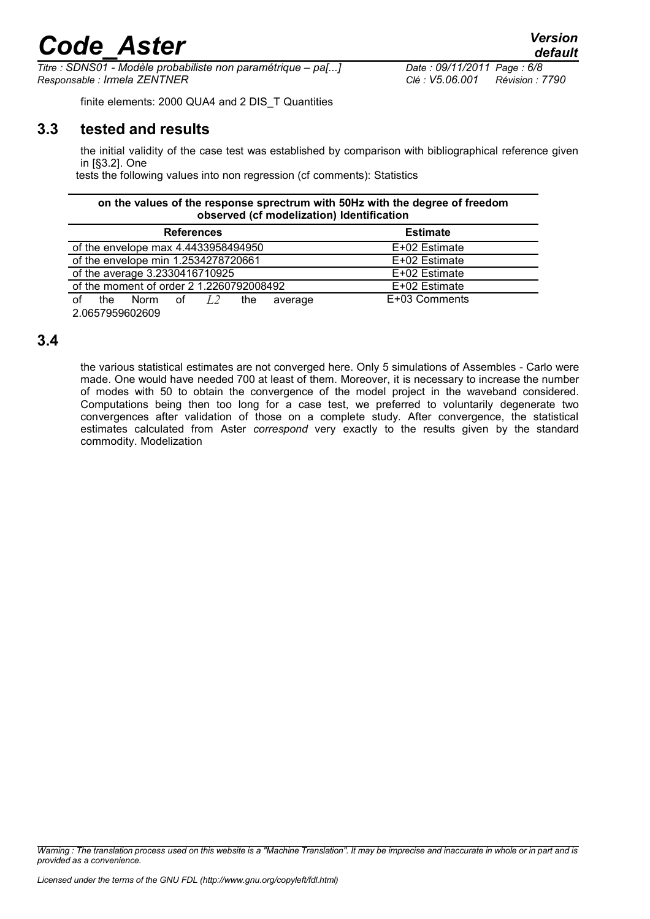*Titre : SDNS01 - Modèle probabiliste non paramétrique – pa[...] Date : 09/11/2011 Page : 6/8 Responsable : Irmela ZENTNER Clé : V5.06.001 Révision : 7790*

finite elements: 2000 QUA4 and 2 DIS\_T Quantities

### **3.3 tested and results**

the initial validity of the case test was established by comparison with bibliographical reference given in [§3.2]. One

tests the following values into non regression (cf comments): Statistics

#### **on the values of the response sprectrum with 50Hz with the degree of freedom observed (cf modelization) Identification**

| <b>References</b>                        |                | <b>Estimate</b> |
|------------------------------------------|----------------|-----------------|
| of the envelope max 4.4433958494950      |                | E+02 Estimate   |
| of the envelope min 1.2534278720661      |                | E+02 Estimate   |
| of the average 3.2330416710925           |                | E+02 Estimate   |
| of the moment of order 2 1.2260792008492 |                | E+02 Estimate   |
| Ωf<br>Norm of $L2$<br>the.               | the<br>average | E+03 Comments   |

2.0657959602609

### **3.4**

the various statistical estimates are not converged here. Only 5 simulations of Assembles - Carlo were made. One would have needed 700 at least of them. Moreover, it is necessary to increase the number of modes with 50 to obtain the convergence of the model project in the waveband considered. Computations being then too long for a case test, we preferred to voluntarily degenerate two convergences after validation of those on a complete study. After convergence, the statistical estimates calculated from Aster *correspond* very exactly to the results given by the standard commodity. Modelization

*Warning : The translation process used on this website is a "Machine Translation". It may be imprecise and inaccurate in whole or in part and is provided as a convenience.*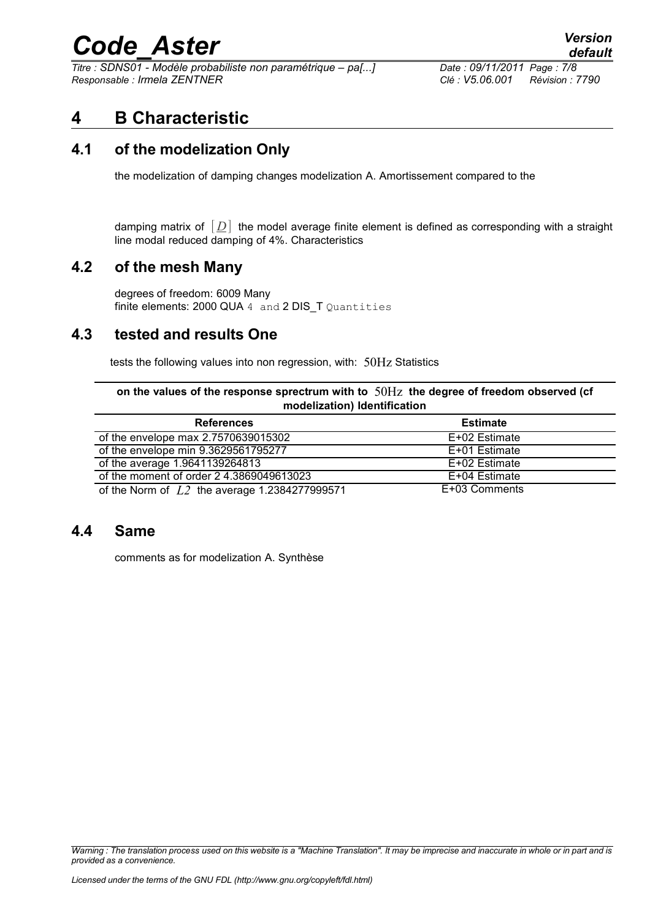*Titre : SDNS01 - Modèle probabiliste non paramétrique – pa[...] Date : 09/11/2011 Page : 7/8 Responsable : Irmela ZENTNER Clé : V5.06.001 Révision : 7790*

## **4 B Characteristic**

## **4.1 of the modelization Only**

the modelization of damping changes modelization A. Amortissement compared to the

damping matrix of  $[D]$  the model average finite element is defined as corresponding with a straight line modal reduced damping of 4%. Characteristics

### **4.2 of the mesh Many**

degrees of freedom: 6009 Many finite elements: 2000 QUA  $4$  and  $2$  DIS T Quantities

## **4.3 tested and results One**

tests the following values into non regression, with: 50Hz Statistics

**on the values of the response sprectrum with to** 50Hz **the degree of freedom observed (cf modelization) Identification**

| <b>References</b>                               | <b>Estimate</b> |
|-------------------------------------------------|-----------------|
| of the envelope max 2.7570639015302             | E+02 Estimate   |
| of the envelope min 9.3629561795277             | E+01 Estimate   |
| of the average 1.9641139264813                  | E+02 Estimate   |
| of the moment of order 24.3869049613023         | E+04 Estimate   |
| of the Norm of $L2$ the average 1.2384277999571 | E+03 Comments   |

### **4.4 Same**

comments as for modelization A. Synthèse

*Warning : The translation process used on this website is a "Machine Translation". It may be imprecise and inaccurate in whole or in part and is provided as a convenience.*